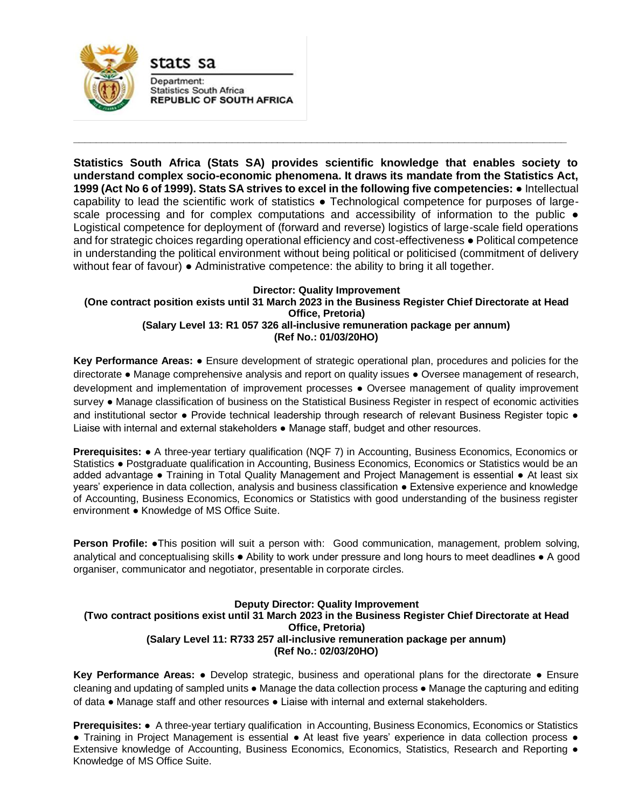

Department: **Statistics South Africa REPUBLIC OF SOUTH AFRICA** 

stats sa

**Statistics South Africa (Stats SA) provides scientific knowledge that enables society to understand complex socio-economic phenomena. It draws its mandate from the Statistics Act, 1999 (Act No 6 of 1999). Stats SA strives to excel in the following five competencies:** ● Intellectual capability to lead the scientific work of statistics ● Technological competence for purposes of largescale processing and for complex computations and accessibility of information to the public  $\bullet$ Logistical competence for deployment of (forward and reverse) logistics of large-scale field operations and for strategic choices regarding operational efficiency and cost-effectiveness ● Political competence in understanding the political environment without being political or politicised (commitment of delivery without fear of favour) ● Administrative competence: the ability to bring it all together.

**\_\_\_\_\_\_\_\_\_\_\_\_\_\_\_\_\_\_\_\_\_\_\_\_\_\_\_\_\_\_\_\_\_\_\_\_\_\_\_\_\_\_\_\_\_\_\_\_\_\_\_\_\_\_\_\_\_\_\_\_\_\_\_\_\_\_\_\_\_\_\_\_\_\_\_\_\_\_\_\_\_\_\_\_\_\_\_**

## **Director: Quality Improvement (One contract position exists until 31 March 2023 in the Business Register Chief Directorate at Head Office, Pretoria) (Salary Level 13: R1 057 326 all-inclusive remuneration package per annum) (Ref No.: 01/03/20HO)**

**Key Performance Areas:** ● Ensure development of strategic operational plan, procedures and policies for the directorate ● Manage comprehensive analysis and report on quality issues ● Oversee management of research, development and implementation of improvement processes ● Oversee management of quality improvement survey ● Manage classification of business on the Statistical Business Register in respect of economic activities and institutional sector • Provide technical leadership through research of relevant Business Register topic • Liaise with internal and external stakeholders ● Manage staff, budget and other resources.

**Prerequisites: ●** A three-year tertiary qualification (NQF 7) in Accounting, Business Economics, Economics or Statistics ● Postgraduate qualification in Accounting, Business Economics, Economics or Statistics would be an added advantage ● Training in Total Quality Management and Project Management is essential ● At least six years' experience in data collection, analysis and business classification ● Extensive experience and knowledge of Accounting, Business Economics, Economics or Statistics with good understanding of the business register environment ● Knowledge of MS Office Suite.

**Person Profile:** •This position will suit a person with: Good communication, management, problem solving, analytical and conceptualising skills ● Ability to work under pressure and long hours to meet deadlines ● A good organiser, communicator and negotiator, presentable in corporate circles.

## **Deputy Director: Quality Improvement (Two contract positions exist until 31 March 2023 in the Business Register Chief Directorate at Head Office, Pretoria) (Salary Level 11: R733 257 all-inclusive remuneration package per annum) (Ref No.: 02/03/20HO)**

**Key Performance Areas:** ● Develop strategic, business and operational plans for the directorate ● Ensure cleaning and updating of sampled units ● Manage the data collection process ● Manage the capturing and editing of data ● Manage staff and other resources ● Liaise with internal and external stakeholders.

**Prerequisites:** ● A three-year tertiary qualification in Accounting, Business Economics, Economics or Statistics ● Training in Project Management is essential ● At least five years' experience in data collection process ● Extensive knowledge of Accounting, Business Economics, Economics, Statistics, Research and Reporting ● Knowledge of MS Office Suite.